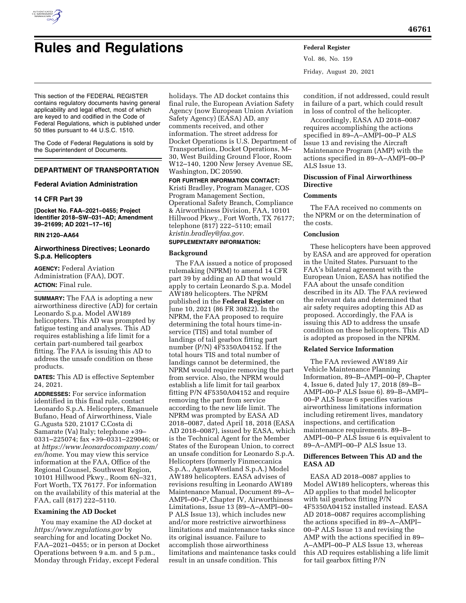

# **Rules and Regulations Federal Register**

Vol. 86, No. 159 Friday, August 20, 2021

This section of the FEDERAL REGISTER contains regulatory documents having general applicability and legal effect, most of which are keyed to and codified in the Code of Federal Regulations, which is published under 50 titles pursuant to 44 U.S.C. 1510.

The Code of Federal Regulations is sold by the Superintendent of Documents.

## **DEPARTMENT OF TRANSPORTATION**

## **Federal Aviation Administration**

## **14 CFR Part 39**

**[Docket No. FAA–2021–0455; Project Identifier 2018–SW–031–AD; Amendment 39–21699; AD 2021–17–16]** 

### **RIN 2120–AA64**

## **Airworthiness Directives; Leonardo S.p.a. Helicopters**

**AGENCY:** Federal Aviation Administration (FAA), DOT. **ACTION:** Final rule.

**SUMMARY:** The FAA is adopting a new airworthiness directive (AD) for certain Leonardo S.p.a. Model AW189 helicopters. This AD was prompted by fatigue testing and analyses. This AD requires establishing a life limit for a certain part-numbered tail gearbox fitting. The FAA is issuing this AD to address the unsafe condition on these products.

**DATES:** This AD is effective September 24, 2021.

**ADDRESSES:** For service information identified in this final rule, contact Leonardo S.p.A. Helicopters, Emanuele Bufano, Head of Airworthiness, Viale G.Agusta 520, 21017 C.Costa di Samarate (Va) Italy; telephone +39– 0331–225074; fax +39–0331–229046; or at *[https://www.leonardocompany.com/](https://www.leonardocompany.com/en/home) [en/home.](https://www.leonardocompany.com/en/home)* You may view this service information at the FAA, Office of the Regional Counsel, Southwest Region, 10101 Hillwood Pkwy., Room 6N–321, Fort Worth, TX 76177. For information on the availability of this material at the FAA, call (817) 222–5110.

## **Examining the AD Docket**

You may examine the AD docket at *<https://www.regulations.gov>* by searching for and locating Docket No. FAA–2021–0455; or in person at Docket Operations between 9 a.m. and 5 p.m., Monday through Friday, except Federal

holidays. The AD docket contains this final rule, the European Aviation Safety Agency (now European Union Aviation Safety Agency) (EASA) AD, any comments received, and other information. The street address for Docket Operations is U.S. Department of Transportation, Docket Operations, M– 30, West Building Ground Floor, Room W12–140, 1200 New Jersey Avenue SE, Washington, DC 20590.

**FOR FURTHER INFORMATION CONTACT:**  Kristi Bradley, Program Manager, COS Program Management Section, Operational Safety Branch, Compliance & Airworthiness Division, FAA, 10101 Hillwood Pkwy., Fort Worth, TX 76177; telephone (817) 222–5110; email *[kristin.bradley@faa.gov.](mailto:kristin.bradley@faa.gov)* 

## **SUPPLEMENTARY INFORMATION:**

## **Background**

The FAA issued a notice of proposed rulemaking (NPRM) to amend 14 CFR part 39 by adding an AD that would apply to certain Leonardo S.p.a. Model AW189 helicopters. The NPRM published in the **Federal Register** on June 10, 2021 (86 FR 30822). In the NPRM, the FAA proposed to require determining the total hours time-inservice (TIS) and total number of landings of tail gearbox fitting part number (P/N) 4F5350A04152. If the total hours TIS and total number of landings cannot be determined, the NPRM would require removing the part from service. Also, the NPRM would establish a life limit for tail gearbox fitting P/N 4F5350A04152 and require removing the part from service according to the new life limit. The NPRM was prompted by EASA AD 2018–0087, dated April 18, 2018 (EASA AD 2018–0087), issued by EASA, which is the Technical Agent for the Member States of the European Union, to correct an unsafe condition for Leonardo S.p.A. Helicopters (formerly Finmeccanica S.p.A., AgustaWestland S.p.A.) Model AW189 helicopters. EASA advises of revisions resulting in Leonardo AW189 Maintenance Manual, Document 89–A– AMPI–00–P, Chapter IV, Airworthiness Limitations, Issue 13 (89–A–AMPI–00– P ALS Issue 13), which includes new and/or more restrictive airworthiness limitations and maintenance tasks since its original issuance. Failure to accomplish those airworthiness limitations and maintenance tasks could result in an unsafe condition. This

condition, if not addressed, could result in failure of a part, which could result in loss of control of the helicopter.

Accordingly, EASA AD 2018–0087 requires accomplishing the actions specified in 89–A–AMPI–00–P ALS Issue 13 and revising the Aircraft Maintenance Program (AMP) with the actions specified in 89–A–AMPI–00–P ALS Issue 13.

## **Discussion of Final Airworthiness Directive**

## **Comments**

The FAA received no comments on the NPRM or on the determination of the costs.

## **Conclusion**

These helicopters have been approved by EASA and are approved for operation in the United States. Pursuant to the FAA's bilateral agreement with the European Union, EASA has notified the FAA about the unsafe condition described in its AD. The FAA reviewed the relevant data and determined that air safety requires adopting this AD as proposed. Accordingly, the FAA is issuing this AD to address the unsafe condition on these helicopters. This AD is adopted as proposed in the NPRM.

#### **Related Service Information**

The FAA reviewed AW189 Air Vehicle Maintenance Planning Information, 89–B–AMPI–00–P, Chapter 4, Issue 6, dated July 17, 2018 (89–B– AMPI–00–P ALS Issue 6). 89–B–AMPI– 00–P ALS Issue 6 specifies various airworthiness limitations information including retirement lives, mandatory inspections, and certification maintenance requirements. 89–B– AMPI–00–P ALS Issue 6 is equivalent to 89–A–AMPI–00–P ALS Issue 13.

## **Differences Between This AD and the EASA AD**

EASA AD 2018–0087 applies to Model AW189 helicopters, whereas this AD applies to that model helicopter with tail gearbox fitting P/N 4F5350A04152 installed instead. EASA AD 2018–0087 requires accomplishing the actions specified in 89–A–AMPI– 00–P ALS Issue 13 and revising the AMP with the actions specified in 89– A–AMPI–00–P ALS Issue 13, whereas this AD requires establishing a life limit for tail gearbox fitting P/N